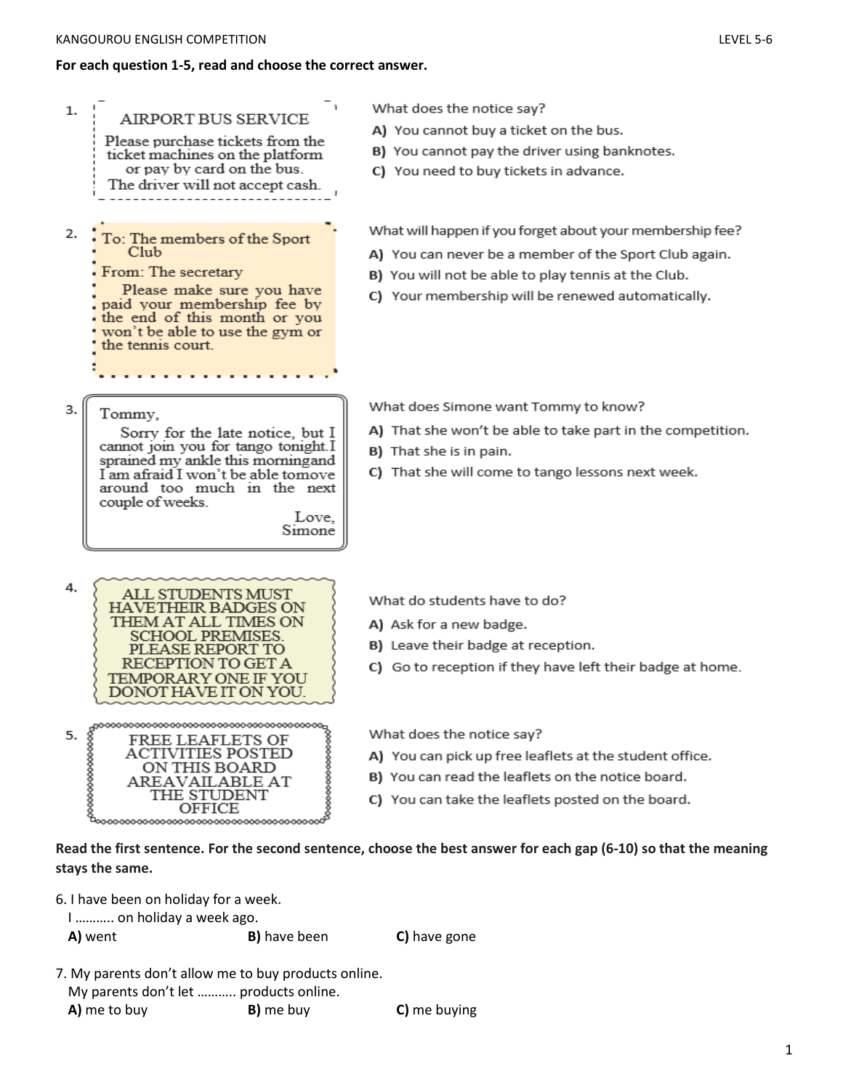## **For each question 1-5, read and choose the correct answer.**

| 1.<br><b>AIRPORT BUS SERVICE</b><br>Please purchase tickets from the<br>ticket machines on the platform<br>or pay by card on the bus.<br>The driver will not accept cash.                                                                | What does the notice say?<br>A) You cannot buy a ticket on the bus.<br>B) You cannot pay the driver using banknotes.<br>C) You need to buy tickets in advance.                                                                                                                                                     |  |  |  |  |
|------------------------------------------------------------------------------------------------------------------------------------------------------------------------------------------------------------------------------------------|--------------------------------------------------------------------------------------------------------------------------------------------------------------------------------------------------------------------------------------------------------------------------------------------------------------------|--|--|--|--|
| 2.<br>To: The members of the Sport<br>C1 <sub>u</sub> b<br>From: The secretary<br>Please make sure you have<br>paid your membership fee by<br>the end of this month or you<br>won't be able to use the gym or<br>the tennis court.       | What will happen if you forget about your membership fee?<br>A) You can never be a member of the Sport Club again.<br>B) You will not be able to play tennis at the Club.<br>C) Your membership will be renewed automatically.                                                                                     |  |  |  |  |
| 3.<br>Tommy,<br>Sorry for the late notice, but I<br>cannot join you for tango tonight.I<br>sprained my ankle this morningand<br>I am afraid I won't be able tomove<br>around too much in the next<br>couple of weeks.<br>Love.<br>Simone | What does Simone want Tommy to know?<br>A) That she won't be able to take part in the competition.<br>B) That she is in pain.<br>C) That she will come to tango lessons next week.                                                                                                                                 |  |  |  |  |
| 4.<br>ALL STUDENTS MUST<br>HAVETHEIR BADGES ON<br>THEM AT ALL TIMES ON<br><b>SCHOOL PREMISES</b><br>EASE REPORT<br>TO GET A<br>TEMPORARY ONE IF YOU<br>DONOT HAVE IT ON YOU.                                                             | What do students have to do?<br>A) Ask for a new badge.<br>B) Leave their badge at reception.<br>C) Go to reception if they have left their badge at home.                                                                                                                                                         |  |  |  |  |
| 5.<br>FREE LEAFLETS OF ACTIVITIES POSTED<br>ON THIS BOARD<br>AREAVAILABLE AT THE STUDENT<br>OFFICE OF AREAVAILABLE AT                                                                                                                    | What does the notice say?<br>A) You can pick up free leaflets at the student office.<br>B) You can read the leaflets on the notice board.<br>C) You can take the leaflets posted on the board.<br>Read the first sentence. For the second sentence, choose the best answer for each gap (6-10) so that the meaning |  |  |  |  |
| stays the same.                                                                                                                                                                                                                          |                                                                                                                                                                                                                                                                                                                    |  |  |  |  |

- 6. I have been on holiday for a week.
	- I ……….. on holiday a week ago.

```
A) went B) have been C) have gone
```
- 7. My parents don't allow me to buy products online.
	- My parents don't let ……….. products online.

**A)** me to buy **B)** me buy **C)** me buying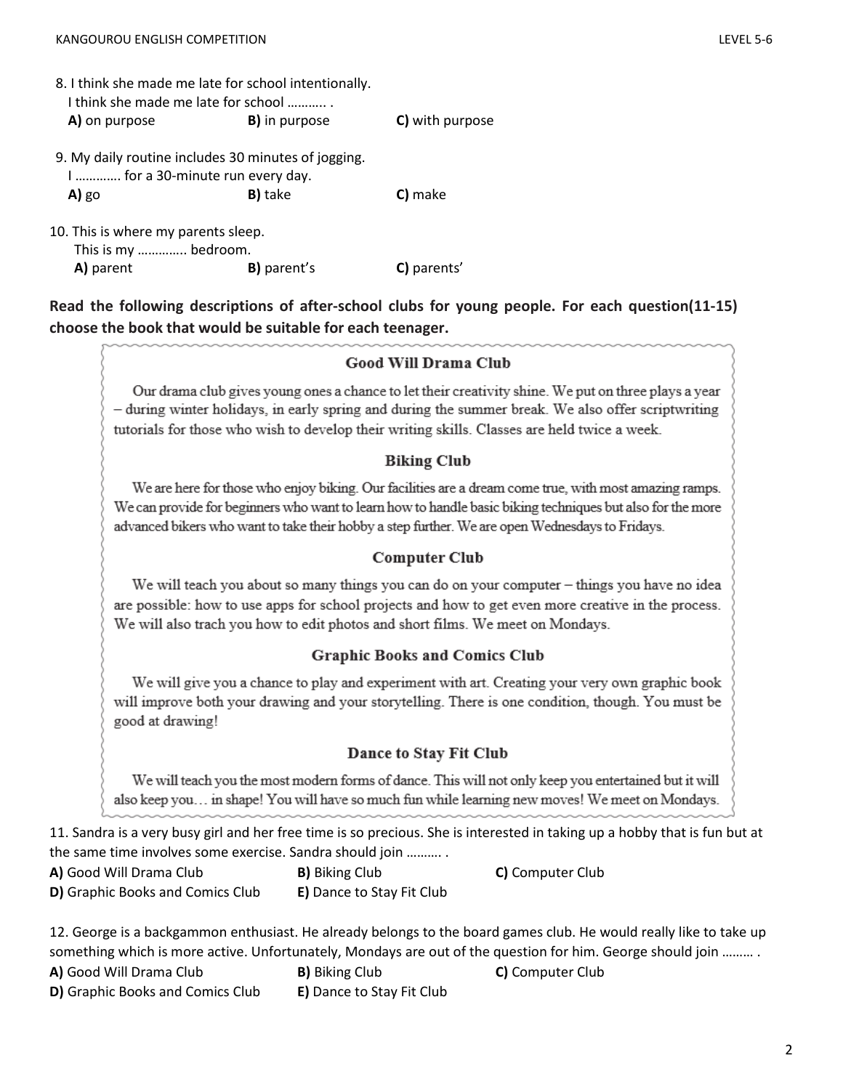| 8. I think she made me late for school intentionally.<br>I think she made me late for school |                      |                 |  |  |  |  |
|----------------------------------------------------------------------------------------------|----------------------|-----------------|--|--|--|--|
| A) on purpose                                                                                | <b>B)</b> in purpose | C) with purpose |  |  |  |  |
| 9. My daily routine includes 30 minutes of jogging.<br>I   if or a 30-minute run every day.  |                      |                 |  |  |  |  |
| $A)$ go                                                                                      | <b>B</b> ) take      | C) make         |  |  |  |  |
| 10. This is where my parents sleep.<br>This is my  bedroom.                                  |                      |                 |  |  |  |  |
| A) parent                                                                                    | <b>B)</b> parent's   | C) parents'     |  |  |  |  |

**Read the following descriptions of after-school clubs for young people. For each question(11-15) choose the book that would be suitable for each teenager.**

### **Good Will Drama Club**

Our drama club gives young ones a chance to let their creativity shine. We put on three plays a year - during winter holidays, in early spring and during the summer break. We also offer scriptwriting tutorials for those who wish to develop their writing skills. Classes are held twice a week.

#### **Biking Club**

We are here for those who enjoy biking. Our facilities are a dream come true, with most amazing ramps. We can provide for beginners who want to learn how to handle basic biking techniques but also for the more advanced bikers who want to take their hobby a step further. We are open Wednesdays to Fridays.

#### **Computer Club**

We will teach you about so many things you can do on your computer – things you have no idea are possible: how to use apps for school projects and how to get even more creative in the process. We will also trach you how to edit photos and short films. We meet on Mondays.

#### **Graphic Books and Comics Club**

We will give you a chance to play and experiment with art. Creating your very own graphic book will improve both your drawing and your storytelling. There is one condition, though. You must be good at drawing!

#### Dance to Stay Fit Club

We will teach you the most modern forms of dance. This will not only keep you entertained but it will also keep you... in shape! You will have so much fun while learning new moves! We meet on Mondays.

11. Sandra is a very busy girl and her free time is so precious. She is interested in taking up a hobby that is fun but at the same time involves some exercise. Sandra should join ………. .

**A)** Good Will Drama Club **B)** Biking Club **C)** Computer Club

**D)** Graphic Books and Comics Club **E)** Dance to Stay Fit Club

12. George is a backgammon enthusiast. He already belongs to the board games club. He would really like to take up something which is more active. Unfortunately, Mondays are out of the question for him. George should join ……… . **A)** Good Will Drama Club **B)** Biking Club **C)** Computer Club

**D)** Graphic Books and Comics Club **E)** Dance to Stay Fit Club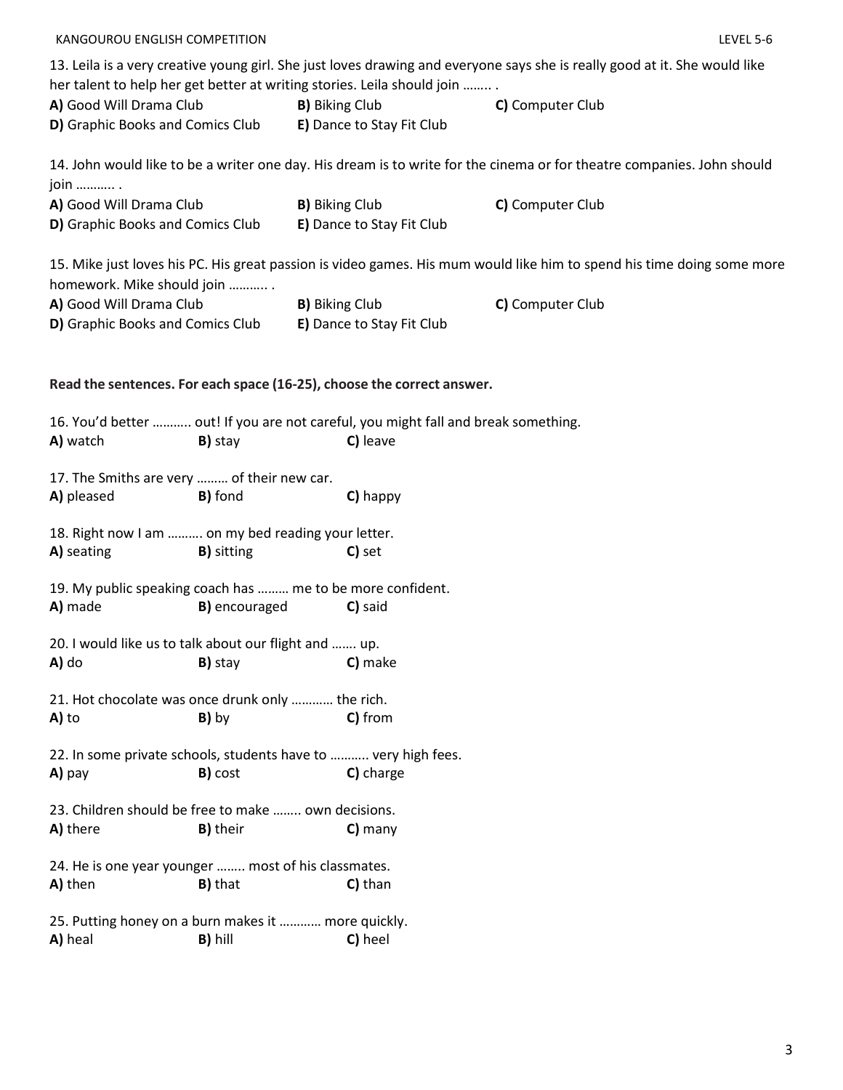| her talent to help her get better at writing stories. Leila should join                                   |                                 |                                                           | 13. Leila is a very creative young girl. She just loves drawing and everyone says she is really good at it. She would like |
|-----------------------------------------------------------------------------------------------------------|---------------------------------|-----------------------------------------------------------|----------------------------------------------------------------------------------------------------------------------------|
| A) Good Will Drama Club<br>D) Graphic Books and Comics Club E) Dance to Stay Fit Club                     |                                 | <b>B)</b> Biking Club                                     | C) Computer Club                                                                                                           |
| join  .                                                                                                   |                                 |                                                           | 14. John would like to be a writer one day. His dream is to write for the cinema or for theatre companies. John should     |
| A) Good Will Drama Club<br>D) Graphic Books and Comics Club                                               |                                 | <b>B)</b> Biking Club<br><b>E)</b> Dance to Stay Fit Club | C) Computer Club                                                                                                           |
| homework. Mike should join                                                                                |                                 |                                                           | 15. Mike just loves his PC. His great passion is video games. His mum would like him to spend his time doing some more     |
| A) Good Will Drama Club<br>D) Graphic Books and Comics Club                                               |                                 | <b>B)</b> Biking Club<br>E) Dance to Stay Fit Club        | C) Computer Club                                                                                                           |
| Read the sentences. For each space (16-25), choose the correct answer.                                    |                                 |                                                           |                                                                                                                            |
| 16. You'd better  out! If you are not careful, you might fall and break something.<br>A) watch<br>B) stay |                                 | C) leave                                                  |                                                                                                                            |
| 17. The Smiths are very  of their new car.<br>A) pleased<br><b>B)</b> fond                                |                                 | C) happy                                                  |                                                                                                                            |
| 18. Right now I am  on my bed reading your letter.                                                        |                                 |                                                           |                                                                                                                            |
| A) seating<br><b>B)</b> sitting                                                                           |                                 | C) set                                                    |                                                                                                                            |
| 19. My public speaking coach has  me to be more confident.                                                |                                 |                                                           |                                                                                                                            |
| A) made                                                                                                   | <b>B)</b> encouraged            | C) said                                                   |                                                                                                                            |
| 20. I would like us to talk about our flight and  up.                                                     |                                 |                                                           |                                                                                                                            |
| A) do                                                                                                     | <b>B</b> ) stay <b>C</b> ) make |                                                           |                                                                                                                            |
| 21. Hot chocolate was once drunk only  the rich.                                                          |                                 |                                                           |                                                                                                                            |
| A) to<br>B) by                                                                                            |                                 | C) from                                                   |                                                                                                                            |
| 22. In some private schools, students have to  very high fees.                                            |                                 |                                                           |                                                                                                                            |
| B) cost<br>A) pay                                                                                         |                                 | C) charge                                                 |                                                                                                                            |
| 23. Children should be free to make  own decisions.<br>A) there<br><b>B)</b> their                        |                                 | $C)$ many                                                 |                                                                                                                            |
| 24. He is one year younger  most of his classmates.<br><b>B)</b> that<br>A) then                          |                                 | C) than                                                   |                                                                                                                            |
| 25. Putting honey on a burn makes it  more quickly.<br>A) heal<br>B) hill                                 |                                 | C) heel                                                   |                                                                                                                            |

KANGOUROU ENGLISH COMPETITION LEVEL 5-6